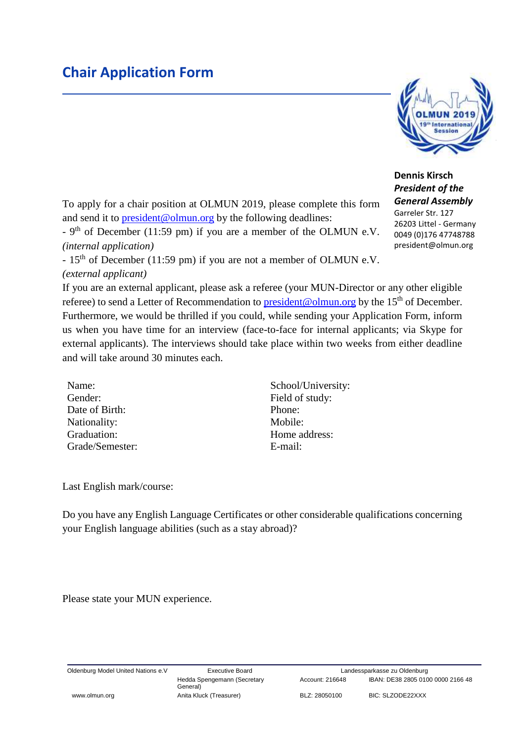## **Chair Application Form**



**Dennis Kirsch** *President of the General Assembly* Garreler Str. 127

26203 Littel - Germany 0049 (0)176 47748788 president@olmun.org

To apply for a chair position at OLMUN 2019, please complete this form and send it to [president@olmun.org](mailto:president@olmun.org) by the following deadlines:

 $-9<sup>th</sup>$  of December (11:59 pm) if you are a member of the OLMUN e.V. *(internal application)*

- 15<sup>th</sup> of December (11:59 pm) if you are not a member of OLMUN e.V. *(external applicant)*

If you are an external applicant, please ask a referee (your MUN-Director or any other eligible referee) to send a Letter of Recommendation to **president@olmun.org** by the 15<sup>th</sup> of December. Furthermore, we would be thrilled if you could, while sending your Application Form, inform us when you have time for an interview (face-to-face for internal applicants; via Skype for external applicants). The interviews should take place within two weeks from either deadline and will take around 30 minutes each.

Gender: Field of study: Date of Birth: Phone: Nationality: Mobile: Graduation: Home address: Grade/Semester: E-mail:

Name: School/University:

Last English mark/course:

Do you have any English Language Certificates or other considerable qualifications concerning your English language abilities (such as a stay abroad)?

Please state your MUN experience.